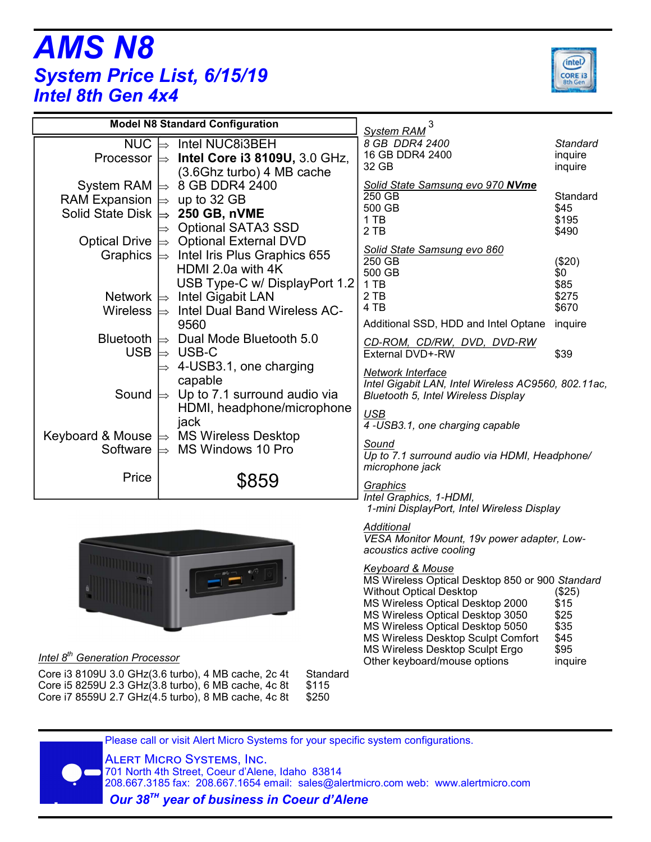## *AMS N8 System Price List, 6/15/19 Intel 8th Gen 4x4*



| <b>Model N8 Standard Configuration</b> |                                               | 3<br>System RAM                                        |                 |  |
|----------------------------------------|-----------------------------------------------|--------------------------------------------------------|-----------------|--|
| <b>NUC</b>                             | Intel NUC8i3BEH                               | 8 GB DDR4 2400                                         | <b>Standard</b> |  |
| Processor $\Rightarrow$                | Intel Core i3 8109U, 3.0 GHz,                 | 16 GB DDR4 2400                                        | inquire         |  |
|                                        | (3.6Ghz turbo) 4 MB cache                     | 32 GB                                                  | inquire         |  |
| System RAM $\Rightarrow$               | 8 GB DDR4 2400                                | Solid State Samsung evo 970 NVme                       |                 |  |
| <b>RAM Expansion</b>                   | up to 32 GB                                   | 250 GB                                                 | Standard        |  |
| Solid State Disk $\Rightarrow$         | <b>250 GB, nVME</b>                           | 500 GB<br>1 TB                                         | \$45<br>\$195   |  |
|                                        | <b>Optional SATA3 SSD</b>                     | 2 TB                                                   | \$490           |  |
| Optical Drive $\Rightarrow$            | <b>Optional External DVD</b>                  |                                                        |                 |  |
| Graphics $\Rightarrow$                 | Intel Iris Plus Graphics 655                  | Solid State Samsung evo 860<br>250 GB                  | (\$20)          |  |
|                                        | HDMI 2.0a with 4K                             | 500 GB                                                 | \$0             |  |
|                                        | USB Type-C w/ DisplayPort 1.2                 | 1 TB                                                   | \$85            |  |
| Network $\Rightarrow$                  | <b>Intel Gigabit LAN</b>                      | 2 TB                                                   | \$275           |  |
| <b>Wireless</b>                        | Intel Dual Band Wireless AC-<br>$\Rightarrow$ | 4 TB                                                   | \$670           |  |
|                                        | 9560                                          | Additional SSD, HDD and Intel Optane                   | inquire         |  |
| <b>Bluetooth</b>                       | Dual Mode Bluetooth 5.0<br>$\Rightarrow$      | CD-ROM, CD/RW, DVD, DVD-RW                             |                 |  |
| <b>USB</b>                             | USB-C<br>$\Rightarrow$                        | External DVD+-RW                                       | \$39            |  |
|                                        | 4-USB3.1, one charging                        | Network Interface                                      |                 |  |
|                                        | capable                                       | Intel Gigabit LAN, Intel Wireless AC9560, 802.11ac,    |                 |  |
| Sound                                  | Up to 7.1 surround audio via<br>$\Rightarrow$ | Bluetooth 5, Intel Wireless Display                    |                 |  |
|                                        | HDMI, headphone/microphone                    | <b>USB</b>                                             |                 |  |
|                                        | jack                                          | 4 -USB3.1, one charging capable                        |                 |  |
| Keyboard & Mouse                       | <b>MS Wireless Desktop</b><br>$\Rightarrow$   |                                                        |                 |  |
| Software                               | MS Windows 10 Pro                             | Sound<br>Up to 7.1 surround audio via HDMI, Headphone/ |                 |  |
|                                        |                                               | microphone jack                                        |                 |  |
| Price                                  | \$859                                         |                                                        |                 |  |
|                                        |                                               | Graphics<br>Intel Graphics, 1-HDMI,                    |                 |  |
|                                        |                                               | 1-mini DisplayPort, Intel Wireless Display             |                 |  |
|                                        |                                               | Additional                                             |                 |  |
|                                        |                                               | VESA Monitor Mount, 19v power adapter, Low-            |                 |  |
|                                        |                                               | acoustics active cooling                               |                 |  |
|                                        |                                               | <b>Keyboard &amp; Mouse</b>                            |                 |  |
|                                        |                                               | MS Wireless Optical Desktop 850 or 900 Standard        |                 |  |

Other keyboard/mouse options inquire *Intel 8th Generation Processor*

Core i3 8109U 3.0 GHz(3.6 turbo), 4 MB cache, 2c 4t Standard Core i5 8259U 2.3 GHz(3.8 turbo), 6 MB cache, 4c 8t \$115<br>Core i7 8559U 2.7 GHz(4.5 turbo), 8 MB cache, 4c 8t \$250 Core i7 8559U 2.7 GHz $(4.5 \text{ turbo})$ , 8 MB cache, 4c 8t

Without Optical Desktop (\$25) MS Wireless Optical Desktop 2000 \$15<br>MS Wireless Optical Desktop 3050 \$25 MS Wireless Optical Desktop 3050 \$25<br>MS Wireless Optical Desktop 5050 \$35 MS Wireless Optical Desktop 5050 \$35<br>MS Wireless Desktop Sculpt Comfort \$45 MS Wireless Desktop Sculpt Comfort \$45<br>MS Wireless Desktop Sculpt Ergo \$95

MS Wireless Desktop Sculpt Ergo<br>Other keyboard/mouse options

Please call or visit Alert Micro Systems for your specific system configurations.

**ALERT MICRO SYSTEMS, INC.** 

 701 North 4th Street, Coeur d'Alene, Idaho 83814 208.667.3185 fax: 208.667.1654 email: sales@alertmicro.com web: www.alertmicro.com  *Our 38!" year of business in Coeur d'Alene*